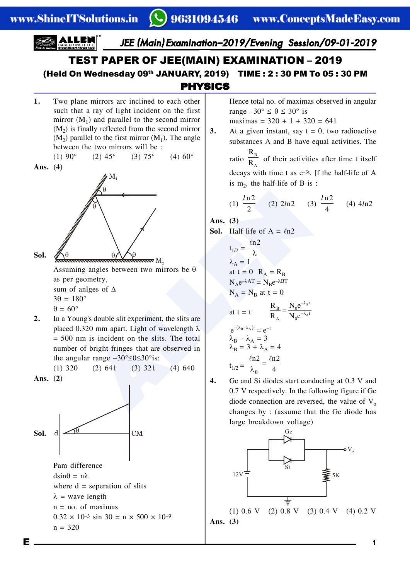### PHYSICS TEST PAPER OF JEE(MAIN) EXAMINATION – 2019 (Held On Wednesday 09th JANUARY, 2019) TIME : 2 : 30 PM To 05 : 30 PM

**1.** Two plane mirrors arc inclined to each other such that a ray of light incident on the first mirror  $(M_1)$  and parallel to the second mirror  $(M<sub>2</sub>)$  is finally reflected from the second mirror  $(M<sub>2</sub>)$  parallel to the first mirror  $(M<sub>1</sub>)$ . The angle between the two mirrors will be : (1) 90° (2) 45° (3) 75° (4) 60°

**Ans. (4)**



 $\mathrm{M_{_{2}}}$ Assuming angles between two mirrors be  $\theta$ as per geometry, sum of anlges of  $\Delta$  $3\theta = 180^\circ$  $\theta = 60^\circ$ 

**2.** In a Young's double slit experiment, the slits are placed 0.320 mm apart. Light of wavelength  $\lambda$ = 500 nm is incident on the slits. The total number of bright fringes that are observed in the angular range  $-30^{\circ} \le \theta \le 30^{\circ}$  is:

 $(1)$  320  $(2)$  641  $(3)$  321  $(4)$  640

**Ans. (2)**



Pam difference  $dsin\theta = n\lambda$ where  $d =$  seperation of slits  $\lambda$  = wave length  $n = no$ . of maximas  $0.32 \times 10^{-3}$  sin  $30 = n \times 500 \times 10^{-9}$  $n = 320$ 

Hence total no. of maximas observed in angular range  $-30^{\circ} \le \theta \le 30^{\circ}$  is

maximas =  $320 + 1 + 320 = 641$ 

**3.** At a given instant, say  $t = 0$ , two radioactive substances A and B have equal activities. The R

ratio  $\frac{R_B}{R_A}$  $\overline{R_{A}}$  of their activities after time t itself decays with time t as e–3t. [f the half-life of A is  $m_2$ , the half-life of B is:

(1) 
$$
\frac{\ln 2}{2}
$$
 (2)  $2\ln 2$  (3)  $\frac{\ln 2}{4}$  (4)  $4\ln 2$ 

**Ans. (3)**

**Sol.** Half life of  $A = ln2$ 

**Also (1)**  $\frac{ln2}{2}$  (2)  $2ln2$  (3)<br> **Also (1)**  $\frac{ln2}{2}$  (2)  $2ln2$  (3)<br> **Also (3)**<br> **Also (3)**<br> **Sol.** Half life of A =  $ln2$ <br>
t<sub>1/2</sub> =  $\frac{ln2}{\lambda}$ <br>
at t = 0 R<sub>A</sub> = R<sub>B</sub><br>
cometry,<br>
nlges of  $\Delta$ <br>
ng's double slit experim  $t_{1/2} = \frac{\ln 2}{\lambda}$  $\ell$  $\lambda_A = 1$ at  $t = 0$   $R_A = R_B$  $N_Ae^{-\lambda AT} = N_Be^{-\lambda BT}$  $N_A = N_B$  at t = 0 at  $t = t$ B A  $\frac{B}{A} = \frac{N_0 e^{-\lambda_B t}}{N_0 e^{-\lambda_A t}}$  $R_B$  N<sub>0</sub>e  $R_A$   $N_0e$  $-\lambda$  $=\frac{140}{N a^{-\lambda}}$  $e^{-(\lambda_B - \lambda_A)t} = e^{-t}$  $\lambda_{\rm B} - \lambda_{\rm A} = 3$  $\lambda_B = 3 + \lambda_A = 4$  $t_{1/2} = \overline{\lambda_{\rm B}}$  $\frac{\ln 2}{\lambda_{\rm B}} = \frac{\ln 2}{4}$ 

- 
- **4.** Ge and Si diodes start conducting at 0.3 V and 0.7 V respectively. In the following figure if Ge diode connection are reversed, the value of  $V<sub>o</sub>$ changes by : (assume that the Ge diode has large breakdown voltage)

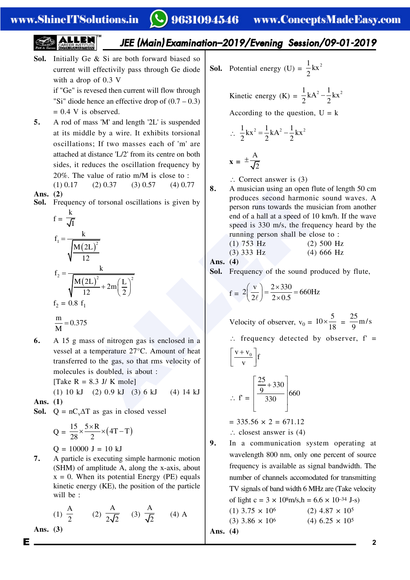# 9631094546 www.ConceptsMadeEasy.com

## *JEE (Main) Examination–2019/Evening Session/09-01-2019*

**Sol.** Initially Ge & Si are both forward biased so current will effectivily pass through Ge diode with a drop of 0.3 V

if "Ge" is revesed then current will flow through "Si" diode hence an effective drop of  $(0.7 - 0.3)$  $= 0.4$  V is observed.

**5.** A rod of mass 'M' and length '2L' is suspended at its middle by a wire. It exhibits torsional oscillations; If two masses each of 'm' are attached at distance 'L/2' from its centre on both sides, it reduces the oscillation frequency by 20%. The value of ratio m/M is close to :

$$
(1) 0.17 \t(2) 0.37 \t(3) 0.57 \t(4) 0.77
$$

**Sol.** Frequency of torsonal oscillations is given by k

**8.** A must can using an open f  
\nFrequency of torsonal oscillations is given by  
\n
$$
f = \frac{k}{\sqrt{n}}
$$
  
\n $f_1 = \frac{k}{\sqrt{n(2L)^2}}$   
\n $f_2 = \frac{k}{\sqrt{n(2L)^2}} + 2m(\frac{L}{2})^2$   
\n $f_2 = 0.8 f_1$   
\n $f_1 = \frac{k}{\sqrt{n(2L)^2}}$   
\n $f_2 = 0.8 f_1$   
\n $f_1 = \frac{k}{\sqrt{n(2L)^2}}$   
\n $f_2 = 0.8 f_1$   
\n $f_1 = \frac{k}{\sqrt{n(2L)^2}}$   
\n $f_2 = 0.8 f_1$   
\n $f_1 = 2(\frac{v}{2\ell}) = \frac{2 \times 330}{2 \times 0.5} = 660F$   
\n $f_2 = 0.8 f_1$   
\n $f_1 = 0.375$   
\n $f_1 = 0.375$   
\n $f_1 = 0.375$   
\n $f_1 = 0.375$   
\n $f_1 = 0.375$   
\n $f_1 = 0.375$   
\n $f_1 = 0.375$   
\n $f_1 = 0.375$   
\n $f_1 = 0.375$   
\n $f_1 = 0.375$   
\n $f_1 = 0.375$   
\n $f_1 = 0.375$   
\n $f_1 = 0.375$   
\n $f_1 = 0.375$   
\n $f_1 = 0.375$   
\n $f_1 = 0.375$   
\n $f_1 = 0.375$   
\n $f_1 = 0.375$   
\n $f_1 = 0.375$   
\n $f_1 = 0.375$   
\n $f_1 = 0.375$   
\n $f_1 = 0.375$   
\n $f_1 = 0.375$   
\n $f_1 = 0.375$   
\n $f_1 = 0.3$ 

**6.** A 15 g mass of nitrogen gas is enclosed in a vessel at a temperature 27°C. Amount of heat transferred to the gas, so that rms velocity of molecules is doubled, is about :

[Take  $R = 8.3$  J/ K mole]

$$
(1) 10 kJ (2) 0.9 kJ (3) 6 kJ (4) 14 kJ
$$
  
. (1)

**Ans. (1)**

**Ans. (2)**

**Sol.**  $Q = nC_v\Delta T$  as gas in closed vessel

$$
Q = \frac{15}{28} \times \frac{5 \times R}{2} \times (4T - T)
$$
  
Q = 10000 J = 10 kJ

**7.** A particle is executing simple harmonic motion (SHM) of amplitude A, along the x-axis, about  $x = 0$ . When its potential Energy (PE) equals kinetic energy (KE), the position of the particle will be :

(1) 
$$
\frac{A}{2}
$$
 (2)  $\frac{A}{2\sqrt{2}}$  (3)  $\frac{A}{\sqrt{2}}$  (4) A

**Ans. (3)**

**Sol.** Potential energy (U) =  $\frac{1}{2}kx^2$ 2

Kinetic energy (K) = 
$$
\frac{1}{2}
$$
kA<sup>2</sup> -  $\frac{1}{2}$ kx<sup>2</sup>

According to the question,  $U = k$ 

$$
\therefore \frac{1}{2}kx^2 = \frac{1}{2}kA^2 - \frac{1}{2}kx^2
$$

$$
\mathbf{x} = \pm \frac{A}{\sqrt{2}}
$$

- $\therefore$  Correct answer is (3)
- **8.** A musician using an open flute of length 50 cm produces second harmonic sound waves. A person runs towards the musician from another end of a hall at a speed of 10 km/h. If the wave speed is 330 m/s, the frequency heard by the running person shall be close to :

(1) 753 Hz (2) 500 Hz (3) 333 Hz (4) 666 Hz

Ans. 
$$
(4)
$$

**Sol.** Frequency of the sound produced by flute,

$$
f = 2\left(\frac{v}{2\ell}\right) = \frac{2 \times 330}{2 \times 0.5} = 660
$$
Hz

Velocity of observer,  $v_0 = 10 \times \frac{5}{18} = \frac{25}{9}$  m/s

 $\therefore$  frequency detected by observer, f' =

$$
\left[\frac{v + v_0}{v}\right]f
$$
  
 
$$
\therefore f' = \left[\frac{\frac{25}{9} + 330}{330}\right]660
$$

 $= 335.56 \times 2 = 671.12$  $\therefore$  closest answer is (4)

**9.** In a communication system operating at wavelength 800 nm, only one percent of source frequency is available as signal bandwidth. The number of channels accomodated for transmitting TV signals of band width 6 MHz are (Take velocity of light c =  $3 \times 10^8$ m/s, h =  $6.6 \times 10^{-34}$  J-s)

(1) 
$$
3.75 \times 10^6
$$
  
(2)  $4.87 \times 10^5$   
(3)  $3.86 \times 10^6$   
(4)  $6.25 \times 10^5$   
Ans. (4)

E **2**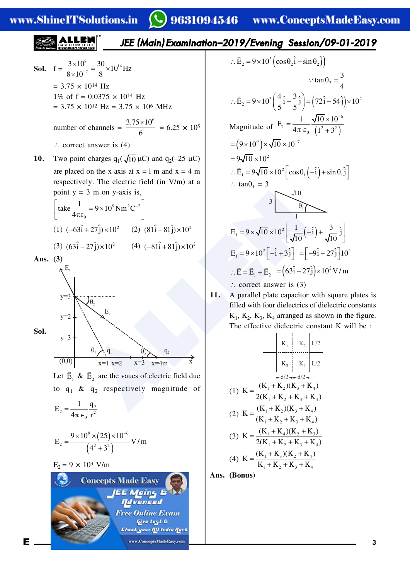### $\mathcal{L}$ ) 9631094546 – www.ConceptsMadeEasy.com

4

6

### www.ShineITSolutions.in *JEE (Main) Examination–2019/Evening Session/09-01-2019*  $\therefore \vec{E}_2 = 9 \times 10^3 \left( \cos \theta_2 \hat{i} - \sin \theta_2 \hat{j} \right)$  $\frac{8}{10}$  – 30  $\times10^{14}$  $\frac{3\times10^8}{8\times10^{-7}} = \frac{30}{8}\times10^{14}$  Hz  $\frac{\times 10^8}{10^{-7}} = \frac{30}{8} \times$ **Sol.** f =  $8\times 10^{-7}$  8  $\times$  $\tan \theta_2 = \frac{3}{4}$  $\therefore$  tan  $\theta_2$  = 2  $= 3.75 \times 10^{14}$  Hz  $\therefore \vec{E}_2 = 9 \times 10^3 \left( \frac{4}{5} \hat{i} - \frac{3}{5} \hat{j} \right) = (72 \hat{i} - 54 \hat{j}) \times$ 1% of f =  $0.0375 \times 10^{14}$  Hz  $\vec{E}_2 = 9 \times 10^3 \left( \frac{4}{5} \hat{i} - \frac{3}{5} \hat{j} \right) = (72 \hat{i} - 54 \hat{j}) \times 10^2$  $= 3.75 \times 10^{12}$  Hz = 3.75  $\times 10^{6}$  MHz  $=\frac{1}{4\pi\epsilon_0}\frac{\sqrt{10\times10^{-1}}}{(1^2+3^2)}$  $E_1 = \frac{1}{4\pi\epsilon_0} \frac{\sqrt{10 \times 10}}{(1.2 \times 10^{-2})^2}$ number of channels =  $\frac{3.75 \times 10^6}{6}$  $\frac{\times 10^6}{6}$  = 6.25 × 10<sup>5</sup> Magnitude of  $E_1 = \frac{E_1}{4\pi \epsilon_0} \frac{1^2 + 3^2}{1^2 + 3^2}$  $1^{-1}$  4 $\pi \in$   $(1^2 + 3^2)$ 6  $= (9 \times 10^{9}) \times \sqrt{10} \times 10^{-7}$  $\therefore$  correct answer is (4)  $= 9\sqrt{10} \times 10^{2}$ **10.** Two point charges  $q_1(\sqrt{10} \mu C)$  and  $q_2(-25 \mu C)$  $\therefore \vec{E}_1 = 9\sqrt{10} \times 10^2 \left[\cos\theta_1\left(-\hat{i}\right) + \sin\theta_1\hat{j}\right]$ are placed on the x-axis at  $x = 1$  m and  $x = 4$  m respectively. The electric field (in V/m) at a  $\therefore$  tan $\theta_1 = 3$ point  $y = 3$  m on y-axis is, a 3 m on y-axis is,<br>  $\frac{1}{k_0}$ <br>  $\frac{1}{k_0}$ <br>  $\frac{1}{k_0}$ <br>  $\frac{1}{k_0}$ <br>  $\frac{1}{k_0}$ <br>  $\frac{1}{k_0}$ <br>  $\frac{1}{k_0}$ <br>  $\frac{1}{k_0}$ <br>  $\frac{1}{k_0}$ <br>  $\frac{1}{k_0}$ <br>  $\frac{1}{k_0}$ <br>  $\frac{1}{k_0}$ <br>  $\frac{1}{k_0}$ <br>  $\frac{1}{k_0}$ <br>  $\frac{1}{k_0}$ <br>  $\frac$  $\sqrt{10}$ 3  $\left[\text{take } \frac{1}{4\pi\epsilon_0} = 9 \times 10^9 \text{ Nm}^2 \text{C}^{-2}\right]$  $\theta_1$ 4 1  $\mathbf{0}$ (1)  $(-63\hat{i} + 27\hat{j}) \times 10^{2}$  (2)  $(81\hat{i} - 81\hat{j}) \times 10^{2}$  $E_1 = 9 \times \sqrt{10} \times 10^2 \left[ \frac{1}{\sqrt{10}} \left( -\hat{i} \right) + \frac{3}{\sqrt{10}} \hat{j} \right]$  $v_1 = 9 \times \sqrt{10 \times 10^2} \left( \frac{1}{\sqrt{10}} \left( -\hat{i} \right) \right)$ (3)  $(63\hat{i} - 27\hat{j}) \times 10^2$  (4)  $(-81\hat{i} + 81\hat{j}) \times 10^2$  $E_1 = 9 \times 10^2 \left[ -\hat{i} + 3\hat{j} \right] = \left[ -9\hat{i} + 27\hat{j} \right] 10^2$ **Ans. (3)** :  $\vec{E} = \vec{E}_1 + \vec{E}_2 = (63\hat{i} - 27\hat{j}) \times 10^2 \text{ V/m}$  $E_{1}$  $\therefore$  correct answer is (3) **11.** A parallel plate capacitor with square plates is  $y=3$  $\theta$ <sub>2</sub> filled with four dielectrics of dielectric constants  $E_{2}$  $K_1$ ,  $K_2$ ,  $K_3$ ,  $K_4$  arranged as shown in the figure.  $y=2$ The effective dielectric constant K will be : **Sol.**  $y=3$  $K_1$  $K_2$  L/2  $\theta_1$   $\theta_2$   $\theta_3$   $\theta_2$   $\theta_3$  $(0,0)$   $x=1$   $x=2$   $x=3$   $x=4$ m  $x=1$  $x=4m$  $K_3$  $K_4$   $L/2$ Let  $\vec{E}_1 \& \vec{E}_2$  are the vaues of electric field due  $d/2 \rightarrow d/2$ (1)  $K = \frac{(K_1 + K_2)(K_3 + K_4)}{2(K_1 + K_2 + K_3 + K_4)}$  $K = \frac{(K_1 + K_2)(K_3 + K_4)}{2(1 + K_1)(K_3 + K_4)}$ to  $q_1$  &  $q_2$  respectively magnitude of  $2(K_1 + K_2 + K_3 + K_4)$  $1 + \mathbf{R}_2 + \mathbf{R}_3 + \mathbf{R}_4$  $E_2 = \frac{1}{4\pi \epsilon_0} \frac{q_2}{r^2}$ (2)  $K = \frac{(K_1 + K_2)(K_3 + K_4)}{(K_1 + K_2 + K_3 + K_4)}$  $K = \frac{(K_1 + K_2)(K_3 + K_4)}{(K_1 + K_2)(K_3 + K_4)}$  $\mathbf{0}$  $(K_1 + K_2 + K_3 + K_4)$  $1 + \mathbf{R}_2 + \mathbf{R}_3 + \mathbf{R}_4$ (3)  $K = \frac{(K_1 + K_4)(K_2 + K_3)}{2(K_1 + K_2 + K_3 + K_4)}$  $K = \frac{(K_1 + K_4)(K_2 + K_3)}{2(K_1 + K_2)(K_3 + K_4)}$  $=\frac{9\times10^{9}\times(25)\times10^{-1}}{(4^{2}+3^{2})}$  $9\sqrt{(25)}\cdot 10^{-6}$  $9 \times 10^{9} \times (25) \times 10$ (25)  $E_2 = \frac{(1 - \mu)^{1/2}}{(1 + \mu)^{1/2}}$  V/m  $2(K_1 + K_2 + K_3 + K_4)$  $2^{\frac{1}{2}}$   $\left( \frac{1^2}{2^2} \right)^2$  $1 + 12 + 13$   $12$  $(4^2+3^2)$ (4)  $K = \frac{(K_1 + K_3)(K_2 + K_4)}{K_1 + K_2 + K_3 + K_4}$  $K = \frac{(K_1 + K_3)(K_2 + K_4)}{K}$  $E_2 = 9 \times 10^3$  $E_2 = 9 \times 10^3$  $E_2 = 9 \times 10^3$  V/m  $K_1 + K_2 + K_3 + K$  $1 + \mathbf{R}_2 + \mathbf{R}_3 + \mathbf{R}_4$ **Ans. (Bonus)Concepts Made Easy** JEE Meins E **Advenced Free Online Exam Give test &** Check your <mark>fil</mark>l India f<mark>l</mark>ank E **3 and 3 and 3 a 3 3 3**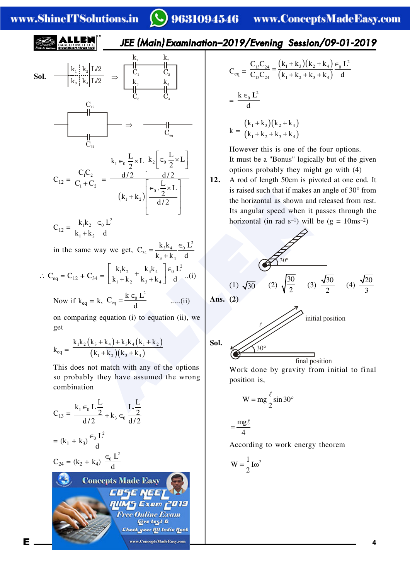### www.ShineITSolutions.in

# 9631094546 www.ConceptsMadeEasy.com

 $k_1 + k_2 + k_3 + k_4$ 

### *JEE (Main) Examination–2019/Evening Session/09-01-2019*

**Sol.**

\n
$$
\frac{k_1}{k_3} \cdot \frac{k_2}{k_4} \cdot \frac{L/2}{L/2} \Rightarrow\n \begin{array}{c}\n k_1 & k_2 \\
 C_1 & C_2 \\
 k_3 & k_4 \\
 \hline\n & C_3 & C_4\n \end{array}
$$
\n
$$
\begin{array}{c}\n C_{12} \\
 C_{23} \\
 C_{34} \\
 \hline\n & C_{34}\n \end{array}
$$
\n
$$
\begin{array}{c}\n C_{12} \\
 \hline\n C_{23} \\
 C_{24} \\
 \hline\n & C_{25}\n \end{array}
$$
\n
$$
\begin{array}{c}\n k_1 \in \left[\frac{L}{2} \times L\right] \times \left[\frac{L}{2} \times \left[\frac{L}{2} \times L\right]\right] \\
 k_1 \in \left[\frac{L}{2} \times L\right] \times \left[\frac{L}{2} \times L\right] \\
 (k_1 + k_2)\n \end{array}
$$
\n
$$
k_1 k_2 \in \left[\frac{L}{2} \times L\right]
$$
\n
$$
k_3 k_3 \in \left[\frac{L}{2} \times L\right]
$$
\n
$$
k_4 k_2 \in \left[\frac{L}{2} \times L\right]
$$

$$
C_{12} = \frac{k_1 k_2}{k_1 + k_2} \frac{\epsilon_0 L}{d}
$$

in the same way we get,  $C_{34} = \frac{k_3 k_4}{k_1 + k_2} = \frac{C_0 L^2}{4}$  $3 + 4$  $C_{34} = \frac{k_3 k_4}{1} = \frac{\epsilon_0 L}{1}$  $=\frac{k_3k_4}{k_3+k_4}\frac{\epsilon_0}{d}$ 

$$
\therefore C_{eq} = C_{12} + C_{34} = \left[ \frac{k_1 k_2}{k_1 + k_2} + \frac{k_3 k_4}{k_3 + k_4} \right] \stackrel{\in}{=} \frac{L^2}{d} \dots (i)
$$

Now if 
$$
k_{eq} = k
$$
,  $C_{eq} = \frac{k \epsilon_0 L^2}{d}$  .....(ii)

on comparing equation (i) to equation (ii), we get

$$
k_{eq} = \frac{k_1k_2(k_3 + k_4) + k_3k_4(k_1 + k_2)}{(k_1 + k_2)(k_3 + k_4)}
$$

This does not match with any of the options so probably they have assumed the wrong combination

$$
C_{13} = \frac{k_1 \epsilon_0 L \frac{L}{2}}{d/2} + k_3 \epsilon_0 \frac{L \frac{L}{2}}{d/2}
$$
\n
$$
= (k_1 + k_3) \frac{\epsilon_0 L^2}{d}
$$
\n
$$
C_{24} = (k_2 + k_4) \frac{\epsilon_0 L^2}{d}
$$
\n
$$
= \frac{mg\ell}{4}
$$
\n
$$
C_{24} = (k_2 + k_4) \frac{\epsilon_0 L^2}{d}
$$
\n
$$
= \frac{mg\ell}{4}
$$
\n
$$
C_{24} = (k_2 + k_4) \frac{\epsilon_0 L^2}{d}
$$
\n
$$
= \frac{mg\ell}{4}
$$
\n
$$
C_{24} = (k_2 + k_4) \frac{\epsilon_0 L^2}{d}
$$
\n
$$
= \frac{mg\ell}{4}
$$
\n
$$
C_{24} = (k_2 + k_4) \frac{\epsilon_0 L^2}{d}
$$
\n
$$
= \frac{mg\ell}{4}
$$
\n
$$
C_{24} = (k_2 + k_4) \frac{\epsilon_0 L^2}{d}
$$
\n
$$
= \frac{mg\ell}{4}
$$
\n
$$
C_{24} = (k_2 + k_4) \frac{\epsilon_0 L^2}{d}
$$
\n
$$
= \frac{mg\ell}{4}
$$
\n
$$
= \frac{mg\ell}{4}
$$
\n
$$
= \frac{mg\ell}{4}
$$
\n
$$
= \frac{mg\ell}{4}
$$
\n
$$
= \frac{mg\ell}{4}
$$
\n
$$
= \frac{mg\ell}{4}
$$
\n
$$
= \frac{mg\ell}{4}
$$
\n
$$
= \frac{mg\ell}{4}
$$
\n
$$
= \frac{mg\ell}{4}
$$
\n
$$
= \frac{mg\ell}{4}
$$
\n
$$
= \frac{mg\ell}{4}
$$
\n
$$
= \frac{mg\ell}{4}
$$
\n
$$
= \frac{mg\ell}{4}
$$
\n
$$
= \frac{mg\ell}{4}
$$
\n
$$
= \frac{mg\ell}{4}
$$
\n
$$
= \frac{mg\ell}{4}
$$
\n $$ 

$$
C_{eq} = \frac{C_{13}C_{24}}{C_{13}C_{24}} = \frac{(k_1 + k_3)(k_2 + k_4)}{(k_1 + k_2 + k_3 + k_4)} \frac{\epsilon_0 L^2}{d}
$$

$$
= \frac{k \epsilon_0 L^2}{d}
$$

$$
k = \frac{(k_1 + k_3)(k_2 + k_4)}{(k_1 + k_2 + k_3 + k_4)}
$$

However this is one of the four options. It must be a "Bonus" logically but of the given options probably they might go with (4)

**12.** A rod of length 50cm is pivoted at one end. It is raised such that if makes an angle of 30° from the horizontal as shown and released from rest. Its angular speed when it passes through the horizontal (in rad  $s^{-1}$ ) will be (g = 10ms<sup>-2</sup>)



Work done by gravity from initial to final position is,

$$
W = mg \frac{\ell}{2} \sin 30^{\circ}
$$

 $=\frac{mg\ell}{4}$ 

According to work energy theorem

$$
W=\frac{1}{2}I\omega^2
$$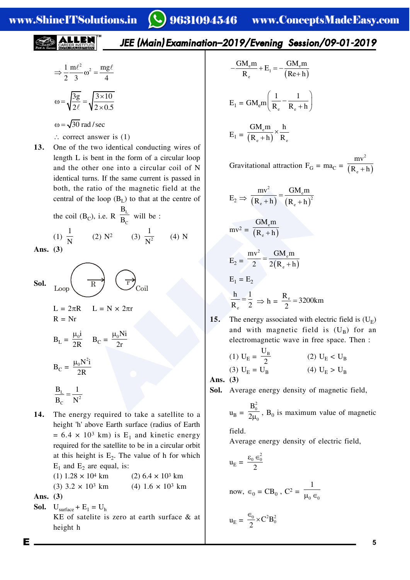$$
\Rightarrow \frac{1}{2} \frac{m\ell^2}{3} \omega^2 = \frac{mg\ell}{4}
$$

$$
\omega = \sqrt{\frac{3g}{2\ell}} = \sqrt{\frac{3 \times 10}{2 \times 0.5}}
$$

 $\omega = \sqrt{30}$  rad / sec

- $\therefore$  correct answer is (1)
- **13.** One of the two identical conducting wires of length L is bent in the form of a circular loop and the other one into a circular coil of N identical turns. If the same current is passed in both, the ratio of the magnetic field at the central of the loop  $(B_L)$  to that at the centre of

the coil (B<sub>C</sub>), i.e. R 
$$
\frac{B_L}{B_C}
$$
 will be :

 $\frac{1}{N}$  (2)  $N^2$  (3)  $\frac{1}{N^2}$ 

1

 $\overline{N^2}$  (4) N

Ans. 
$$
(3)
$$

(1) 1

**Sol.**  
\n
$$
L_{\text{loop}} \longrightarrow R
$$
\n
$$
L = 2\pi R
$$
\n
$$
L = N \times 2\pi r
$$
\n
$$
B_{\text{L}} = \frac{\mu_0 i}{2R}
$$
\n
$$
B_{\text{C}} = \frac{\mu_0 N^2 i}{2R}
$$

$$
\frac{\mathbf{B}_{\rm L}}{\mathbf{B}_{\rm C}} = \frac{1}{\mathbf{N}^2}
$$

**14.** The energy required to take a satellite to a height 'h' above Earth surface (radius of Earth  $= 6.4 \times 10^3$  km) is E<sub>1</sub> and kinetic energy required for the satellite to be in a circular orbit at this height is  $E_2$ . The value of h for which  $E_1$  and  $E_2$  are equal, is:

| $(1)$ 1.28 $\times$ 10 <sup>4</sup> km | $(2)$ 6.4 $\times$ 10 <sup>3</sup> km |
|----------------------------------------|---------------------------------------|
| $(3)$ 3.2 $\times$ 10 <sup>3</sup> km  | $(4)$ 1.6 $\times$ 10 <sup>3</sup> km |
|                                        |                                       |

**Ans. (3)**

**Sol.**  $U_{\text{surface}} + E_1 = U_h$ 

KE of satelite is zero at earth surface & at height h

$$
-\frac{GM_{e}m}{R_{e}} + E_{1} = -\frac{GM_{e}m}{(Re+h)}
$$

$$
E_{1} = GM_{e}m\left(\frac{1}{R_{e}} - \frac{1}{R_{e} + h}\right)
$$

$$
E_{1} = \frac{GM_{e}m}{(R_{e} + h)} \times \frac{h}{R_{e}}
$$

Gravitational attraction  $F_G = ma_C = \frac{R_e + h}{(R_e + h)}$ 2 e mv  $R_e + h$ 

e ratio of the magnetic field at the  
\nthe loop (B<sub>L</sub>) to that at the centre of  
\nB<sub>C</sub>), i.e. R 
$$
\frac{B_L}{B_C}
$$
 will be :  
\n(2) N<sup>2</sup> (3)  $\frac{1}{N^2}$  (4) N  
\n
$$
E_2 \Rightarrow \frac{GM_e m}{(R_e + h)} = \frac{GM_e m}{(R_e + h)^2}
$$
\n
$$
mv^2 = \frac{GM_e m}{(R_e + h)}
$$
\n
$$
E_2 = \frac{mv^2}{2} = \frac{GM_e m}{2(R_e + h)}
$$
\n
$$
E_1 = E_2
$$
\n
$$
\frac{h}{R_e} = \frac{1}{2} \Rightarrow h = \frac{R_e}{2} = 3200k
$$
\n
$$
B_C = \frac{\mu_0 Ni}{2r}
$$
\n
$$
B_C = \frac{\mu_0 Ni}{2r}
$$
\n(1) U<sub>E</sub> =  $\frac{U_B}{2}$  (2)  
\n(3) U<sub>E</sub> = U<sub>B</sub> (4)  
\n**Ans.** (3)  
\n**Ans.** (3)  
\n**Ans.** (3)  
\n**Ans.** (3)  
\n**Ans.** (3)  
\n**Ans.** (3)  
\n**Ans.** (3)  
\n**Ans.** (4)  
\n
$$
v = \frac{B_0^2}{R_e}
$$
 R, is maximum

$$
\frac{h}{R_e} = \frac{1}{2} \implies h = \frac{R_e}{2} = 3200 \text{km}
$$

**15.** The energy associated with electric field is  $(U<sub>E</sub>)$ and with magnetic field is  $(U_B)$  for an electromagnetic wave in free space. Then :

(1) 
$$
U_E = \frac{U_B}{2}
$$
  
\n(2)  $U_E < U_B$   
\n(3)  $U_E = U_B$   
\n(4)  $U_E > U_B$ 

**Ans. (3)**

**Sol.** Average energy density of magnetic field,

$$
u_B = \frac{B_0^2}{2\mu_0}
$$
,  $B_0$  is maximum value of magnetic

field.

Average energy density of electric field,

$$
\mathbf{u}_{\mathrm{E}} = \frac{\varepsilon_{0} \in_{0}^{2}}{2}
$$

now, 
$$
\in_0 = \text{CB}_0
$$
 ,  $\text{C}^2 = \frac{1}{\mu_0 \in_0}$ 

$$
\mathbf{u}_{\mathrm{E}} = \frac{\epsilon_0}{2} \times \mathbf{C}^2 \mathbf{B}_0^2
$$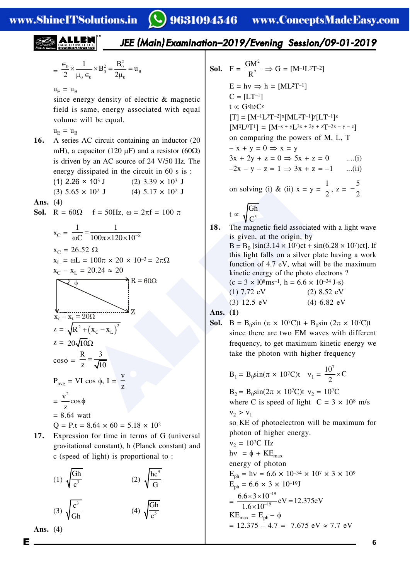$$
=\ \frac{\in_0}{2} \!\times\! \frac{1}{\mu_0 \in_0} \!\times\! B^2_0 = \!\frac{B^2_0}{2\mu_0} \!=\! u_{_B}
$$

 $u_{\rm E} = u_{\rm B}$ 

since energy density of electric & magnetic field is same, energy associated with equal volume will be equal.

- $u_{\rm E} = u_{\rm B}$
- **16.** A series AC circuit containing an inductor (20 mH), a capacitor (120  $\mu$ F) and a resistor (60 $\Omega$ ) is driven by an AC source of 24 V/50 Hz. The energy dissipated in the circuit in 60 s is :
	- (1)  $2.26 \times 10^3$  J (2)  $3.39 \times 10^3$  J

(3)  $5.65 \times 10^2$  J (4)  $5.17 \times 10^2$  J

**Ans. (4)**

**Sol.**  $R = 60\Omega$   $f = 50\text{Hz}$ ,  $\omega = 2\pi f = 100 \pi$ 

(3) 5.65 x 10<sup>2</sup> J (4) 5.17 x 10<sup>2</sup> J (5) 5.65 x 10<sup>2</sup> J (6) 
$$
R = 60\Omega
$$
  $f = 50$  Hz,  $\omega = 2\pi f = 100 \pi$   
\n $x_C = \frac{1}{\omega C} = \frac{1}{100\pi \times 120 \times 10^{-6}}$   
\n $x_C = 26.52 \Omega$   
\n $x_L = \omega L = 100\pi \times 20 \times 10^{-3} = 2\pi \Omega$   
\n $x_C - x_L = 20.24 \approx 20$   
\n $x_C - x_L = 20\Omega$   
\n $x_C - x_L = 20\Omega$   
\n $x_C - x_L = 20\Omega$   
\n $x_C - x_L = 20\Omega$   
\n $x_C - x_L = 20\Omega$   
\n $x_C - x_L = 20\Omega$   
\n $x_C - x_L = 20\Omega$   
\n $x_C - x_L = 20\Omega$   
\n $x_C - x_L = 20\Omega$   
\n $x_C - x_L = 20\Omega$   
\n $x_C - x_L = 20\Omega$   
\n $x_C - x_L = 20\Omega$   
\n $x_C - x_L = 20\Omega$   
\n $x_C - x_L = 20\Omega$   
\n $x_C - x_L = 20\Omega$   
\n $x_C - x_L = 20\Omega$   
\n $x_C - x_L = 20\Omega$   
\n $x_C - x_L = 20\Omega$   
\n $x_C - x_L = 20\Omega$   
\n $x_C - x_L = 20\Omega$   
\n $x_C - x_L = 20\Omega$   
\n $x_C - x_L = 20\Omega$   
\n $x_C - x_L = 20\Omega$   
\n $x_C - x_L = 20\Omega$   
\n $x_C - x_L = 20\Omega$   
\n $x_C - x_L = 20\Omega$   
\n $x_C - x_L = 20\Omega$   
\n $x_C - x_L = 20\Omega$ 

$$
= 8.64
$$

 $Q = P.t = 8.64 \times 60 = 5.18 \times 10^2$ 

**17.** Expression for time in terms of G (universal gravitational constant), h (Planck constant) and c (speed of light) is proportional to :

$$
(1) \sqrt{\frac{Gh}{c^3}}
$$
\n
$$
(2) \sqrt{\frac{hc^5}{G}}
$$
\n
$$
(3) \sqrt{\frac{c^3}{Gh}}
$$
\n
$$
(4) \sqrt{\frac{Gh}{c^5}}
$$

**Ans. (4)**

**Sol.** 
$$
F = \frac{GM^2}{R^2} \Rightarrow G = [M^{-1}L^3T^{-2}]
$$
  
\n
$$
E = hv \Rightarrow h = [ML^2T^{-1}]
$$
  
\n
$$
C = [LT^{-1}]
$$
  
\n
$$
t \propto G^{x}h^{y}C^{z}
$$
  
\n
$$
[T] = [M^{-1}L^{3}T^{-2}]^{x}[ML^{2}T^{-1}]^{y}[LT^{-1}]^{z}
$$
  
\n
$$
[M^{0}L^{0}T^{1}] = [M^{-x} + yL^{3x} + 2y + zT^{-2x - y - z}]
$$
  
\non comparing the powers of M, L, T  
\n
$$
-x + y = 0 \Rightarrow x = y
$$
  
\n
$$
3x + 2y + z = 0 \Rightarrow 5x + z = 0
$$
 ....(i)  
\n
$$
-2x - y - z = 1 \Rightarrow 3x + z = -1
$$
 ...(ii)  
\non solving (i) & (ii)  $x = y = \frac{1}{2}, z = -\frac{5}{2}$   
\n
$$
t \propto \sqrt{\frac{Gh}{C^{5}}}
$$
  
\n**18** The magnetic field associated with a light with

**18.** The magnetic field associated with a light wave is given, at the origin, by  $B = B_0$  [sin(3.14 × 107)ct + sin(6.28 × 107)ct]. If this light falls on a silver plate having a work function of 4.7 eV, what will be the maximum kinetic energy of the photo electrons ?  $(c = 3 \times 10^8 \text{ms}^{-1}, h = 6.6 \times 10^{-34} \text{ J-s})$ (1)  $7.72 \text{ eV}$  (2)  $8.52 \text{ eV}$ (3) 12.5 eV (4) 6.82 eV

**Ans. (1)**

**Sol.** B =  $B_0 \sin (\pi \times 10^7C)t + B_0 \sin (2\pi \times 10^7C)t$ since there are two EM waves with different frequency, to get maximum kinetic energy we take the photon with higher frequency

$$
B_1 = B_0 \sin(\pi \times 10^7 \text{C})t
$$
  $v_1 = \frac{10^7}{2} \times \text{C}$ 

 $B_2 = B_0 \sin(2\pi \times 10^7C)t$   $v_2 = 10^7C$ where C is speed of light  $C = 3 \times 10^8$  m/s  $v_2 > v_1$ so KE of photoelectron will be maximum for photon of higher energy.  $v_2 = 10^7$ C Hz hv =  $\phi$  + KE<sub>max</sub> energy of photon  $E_{\text{ph}} = hv = 6.6 \times 10^{-34} \times 10^{7} \times 3 \times 10^{9}$  $E_{\text{ph}} = 6.6 \times 3 \times 10^{-19}$ J = 19  $\frac{6.6 \times 3 \times 10^{-19}}{1.6 \times 10^{-19}}$  eV = 12.375eV  $1.6 \times 10$ ÷  $\frac{\times 3 \times 10^{-19}}{6 \times 10^{-19}}$ eV =  $KE_{max} = E_{ph} - \phi$  $= 12.375 - 4.7 = 7.675$  eV  $\approx 7.7$  eV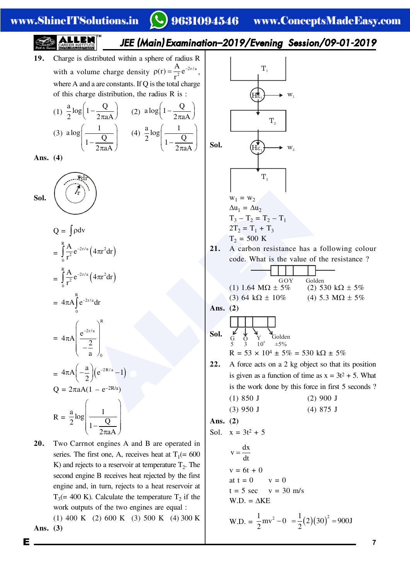# www.ShineITSolutions.in

**Sol.**

### $\mathbf C$ 9631094546 www.ConceptsMadeEasy.com

19. Charge is distributed within a sphere of radius R  
\nwith a volume charge density 
$$
p(t) = \frac{A}{t^2}e^{2\pi t a}
$$
,  
\nwhere A and a are constant, if Q is the total charge  
\nof this charge distribution, the radius R is :  
\n(f)  $\frac{a}{2}log(1-\frac{Q}{2\pi aA})$  (2) also  $\left(1-\frac{Q}{2\pi aA}\right)$   
\n10.  $\frac{a}{2}log(1-\frac{Q}{2\pi aA})$  (3)  $\frac{alog(1-\frac{1}{2\pi aA})}{1-\frac{Q}{2\pi aA}}$   
\n11.  $\frac{a}{2}log(1-\frac{Q}{2\pi aA})$  (4)  $\frac{a}{2}log(\frac{1}{1-\frac{Q}{2\pi aA}})$   
\n12.  $\frac{a}{2}log(\frac{1}{1-\frac{Q}{2\pi aA}})$  (5)  $\frac{b}{2}log(\frac{1}{1-\frac{Q}{2\pi aA}})$   
\n13.  $\frac{c}{2}log(\frac{b}{t^2}e^{-3\pi a}(\frac{4\pi a^2}{3\pi a})$   
\n14.  $\frac{c}{2}log(\frac{b}{t^2}e^{-3\pi a}(\frac{4\pi a^2}{3\pi a})$   
\n15.  $\frac{c}{2}log(\frac{b}{t^2}e^{-3\pi a}(\frac{4\pi a^2}{3\pi a})$   
\n16.  $\frac{a}{2}log(\frac{b}{t^2}e^{-3\pi a})$   
\n17.  $\frac{w_1}{12} = 500$  K  
\n18.  $\frac{a}{2} = 500$  K  
\n19.  $\frac{a}{2}log(\frac{b}{t^2}e^{-3\pi a})$   
\n10.  $1.64$  MΩ ± 5% $\frac{b}{t^2}e^{-3\pi a}$   
\n11.  $\frac{a}{t^2} = 500$  K  
\n12. A catch the value of the resistance?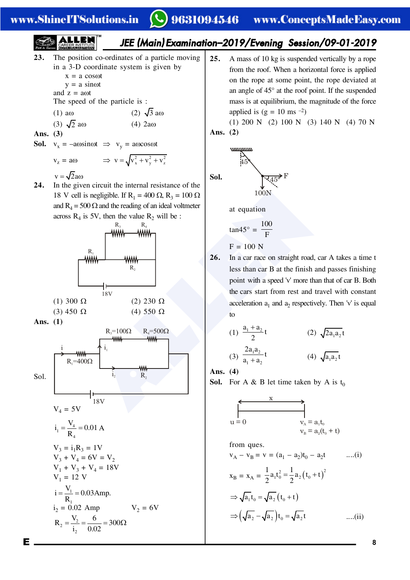### www.ShineITSolutions.in

# 9631094546 www.ConceptsMadeEasy.com